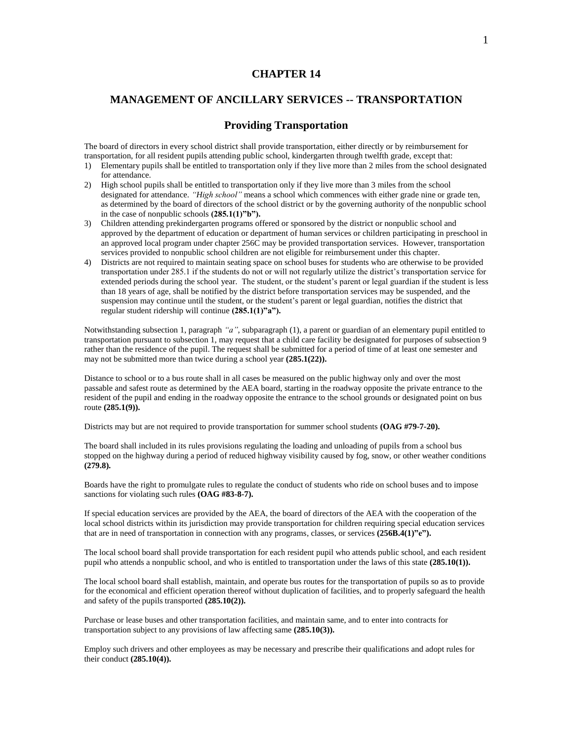## **CHAPTER 14**

# **MANAGEMENT OF ANCILLARY SERVICES -- TRANSPORTATION**

## **Providing Transportation**

The board of directors in every school district shall provide transportation, either directly or by reimbursement for transportation, for all resident pupils attending public school, kindergarten through twelfth grade, except that:

- 1) Elementary pupils shall be entitled to transportation only if they live more than 2 miles from the school designated for attendance.
- 2) High school pupils shall be entitled to transportation only if they live more than 3 miles from the school designated for attendance. *"High school"* means a school which commences with either grade nine or grade ten, as determined by the board of directors of the school district or by the governing authority of the nonpublic school in the case of nonpublic schools **(285.1(1)"b").**
- 3) Children attending prekindergarten programs offered or sponsored by the district or nonpublic school and approved by the department of education or department of human services or children participating in preschool in an approved local program under chapter 256C may be provided transportation services. However, transportation services provided to nonpublic school children are not eligible for reimbursement under this chapter.
- 4) Districts are not required to maintain seating space on school buses for students who are otherwise to be provided transportation under 285.1 if the students do not or will not regularly utilize the district's transportation service for extended periods during the school year. The student, or the student's parent or legal guardian if the student is less than 18 years of age, shall be notified by the district before transportation services may be suspended, and the suspension may continue until the student, or the student's parent or legal guardian, notifies the district that regular student ridership will continue **(285.1(1)"a").**

Notwithstanding subsection 1, paragraph *"a"*, subparagraph (1), a parent or guardian of an elementary pupil entitled to transportation pursuant to subsection 1, may request that a child care facility be designated for purposes of subsection 9 rather than the residence of the pupil. The request shall be submitted for a period of time of at least one semester and may not be submitted more than twice during a school year **(285.1(22)).**

Distance to school or to a bus route shall in all cases be measured on the public highway only and over the most passable and safest route as determined by the AEA board, starting in the roadway opposite the private entrance to the resident of the pupil and ending in the roadway opposite the entrance to the school grounds or designated point on bus route **(285.1(9)).**

Districts may but are not required to provide transportation for summer school students **(OAG #79-7-20).**

The board shall included in its rules provisions regulating the loading and unloading of pupils from a school bus stopped on the highway during a period of reduced highway visibility caused by fog, snow, or other weather conditions **(279.8).**

Boards have the right to promulgate rules to regulate the conduct of students who ride on school buses and to impose sanctions for violating such rules **(OAG #83-8-7).**

If special education services are provided by the AEA, the board of directors of the AEA with the cooperation of the local school districts within its jurisdiction may provide transportation for children requiring special education services that are in need of transportation in connection with any programs, classes, or services **(256B.4(1)"e").**

The local school board shall provide transportation for each resident pupil who attends public school, and each resident pupil who attends a nonpublic school, and who is entitled to transportation under the laws of this state **(285.10(1)).**

The local school board shall establish, maintain, and operate bus routes for the transportation of pupils so as to provide for the economical and efficient operation thereof without duplication of facilities, and to properly safeguard the health and safety of the pupils transported **(285.10(2)).**

Purchase or lease buses and other transportation facilities, and maintain same, and to enter into contracts for transportation subject to any provisions of law affecting same **(285.10(3)).**

Employ such drivers and other employees as may be necessary and prescribe their qualifications and adopt rules for their conduct **(285.10(4)).**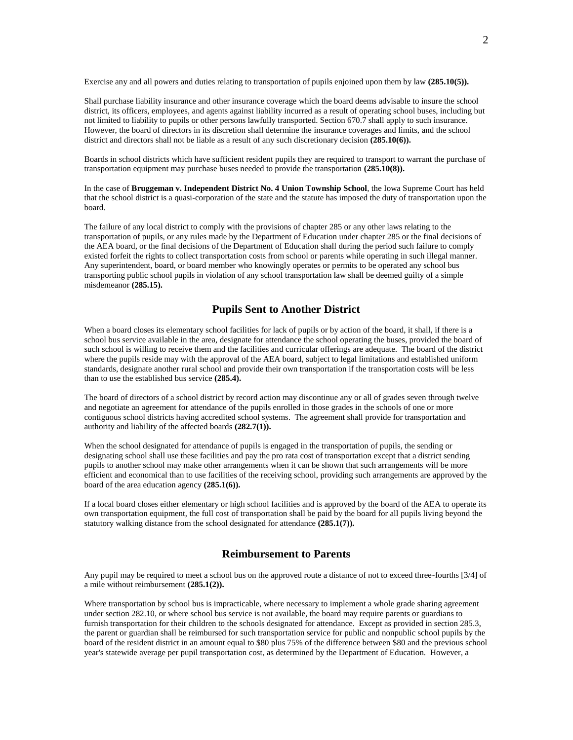Exercise any and all powers and duties relating to transportation of pupils enjoined upon them by law **(285.10(5)).**

Shall purchase liability insurance and other insurance coverage which the board deems advisable to insure the school district, its officers, employees, and agents against liability incurred as a result of operating school buses, including but not limited to liability to pupils or other persons lawfully transported. Section 670.7 shall apply to such insurance. However, the board of directors in its discretion shall determine the insurance coverages and limits, and the school district and directors shall not be liable as a result of any such discretionary decision **(285.10(6)).**

Boards in school districts which have sufficient resident pupils they are required to transport to warrant the purchase of transportation equipment may purchase buses needed to provide the transportation **(285.10(8)).**

In the case of **Bruggeman v. Independent District No. 4 Union Township School**, the Iowa Supreme Court has held that the school district is a quasi-corporation of the state and the statute has imposed the duty of transportation upon the board.

The failure of any local district to comply with the provisions of chapter 285 or any other laws relating to the transportation of pupils, or any rules made by the Department of Education under chapter 285 or the final decisions of the AEA board, or the final decisions of the Department of Education shall during the period such failure to comply existed forfeit the rights to collect transportation costs from school or parents while operating in such illegal manner. Any superintendent, board, or board member who knowingly operates or permits to be operated any school bus transporting public school pupils in violation of any school transportation law shall be deemed guilty of a simple misdemeanor **(285.15).**

## **Pupils Sent to Another District**

When a board closes its elementary school facilities for lack of pupils or by action of the board, it shall, if there is a school bus service available in the area, designate for attendance the school operating the buses, provided the board of such school is willing to receive them and the facilities and curricular offerings are adequate. The board of the district where the pupils reside may with the approval of the AEA board, subject to legal limitations and established uniform standards, designate another rural school and provide their own transportation if the transportation costs will be less than to use the established bus service **(285.4).**

The board of directors of a school district by record action may discontinue any or all of grades seven through twelve and negotiate an agreement for attendance of the pupils enrolled in those grades in the schools of one or more contiguous school districts having accredited school systems. The agreement shall provide for transportation and authority and liability of the affected boards **(282.7(1)).**

When the school designated for attendance of pupils is engaged in the transportation of pupils, the sending or designating school shall use these facilities and pay the pro rata cost of transportation except that a district sending pupils to another school may make other arrangements when it can be shown that such arrangements will be more efficient and economical than to use facilities of the receiving school, providing such arrangements are approved by the board of the area education agency **(285.1(6)).**

If a local board closes either elementary or high school facilities and is approved by the board of the AEA to operate its own transportation equipment, the full cost of transportation shall be paid by the board for all pupils living beyond the statutory walking distance from the school designated for attendance **(285.1(7)).**

## **Reimbursement to Parents**

Any pupil may be required to meet a school bus on the approved route a distance of not to exceed three-fourths [3/4] of a mile without reimbursement **(285.1(2)).**

Where transportation by school bus is impracticable, where necessary to implement a whole grade sharing agreement under section 282.10, or where school bus service is not available, the board may require parents or guardians to furnish transportation for their children to the schools designated for attendance. Except as provided in section 285.3, the parent or guardian shall be reimbursed for such transportation service for public and nonpublic school pupils by the board of the resident district in an amount equal to \$80 plus 75% of the difference between \$80 and the previous school year's statewide average per pupil transportation cost, as determined by the Department of Education. However, a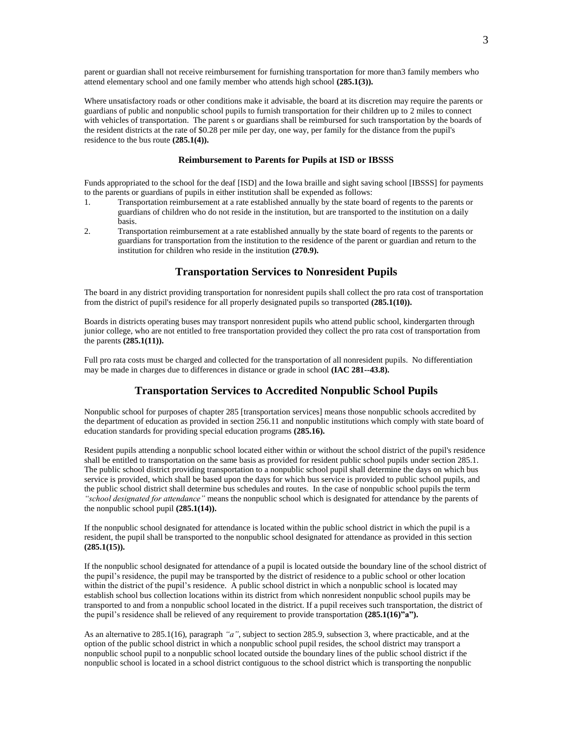parent or guardian shall not receive reimbursement for furnishing transportation for more than3 family members who attend elementary school and one family member who attends high school **(285.1(3)).**

Where unsatisfactory roads or other conditions make it advisable, the board at its discretion may require the parents or guardians of public and nonpublic school pupils to furnish transportation for their children up to 2 miles to connect with vehicles of transportation. The parent s or guardians shall be reimbursed for such transportation by the boards of the resident districts at the rate of \$0.28 per mile per day, one way, per family for the distance from the pupil's residence to the bus route **(285.1(4)).**

#### **Reimbursement to Parents for Pupils at ISD or IBSSS**

Funds appropriated to the school for the deaf [ISD] and the Iowa braille and sight saving school [IBSSS] for payments to the parents or guardians of pupils in either institution shall be expended as follows:

- 1. Transportation reimbursement at a rate established annually by the state board of regents to the parents or guardians of children who do not reside in the institution, but are transported to the institution on a daily basis.
- 2. Transportation reimbursement at a rate established annually by the state board of regents to the parents or guardians for transportation from the institution to the residence of the parent or guardian and return to the institution for children who reside in the institution **(270.9).**

## **Transportation Services to Nonresident Pupils**

The board in any district providing transportation for nonresident pupils shall collect the pro rata cost of transportation from the district of pupil's residence for all properly designated pupils so transported **(285.1(10)).**

Boards in districts operating buses may transport nonresident pupils who attend public school, kindergarten through junior college, who are not entitled to free transportation provided they collect the pro rata cost of transportation from the parents **(285.1(11)).**

Full pro rata costs must be charged and collected for the transportation of all nonresident pupils. No differentiation may be made in charges due to differences in distance or grade in school **(IAC 281--43.8).**

## **Transportation Services to Accredited Nonpublic School Pupils**

Nonpublic school for purposes of chapter 285 [transportation services] means those nonpublic schools accredited by the department of education as provided in section 256.11 and nonpublic institutions which comply with state board of education standards for providing special education programs **(285.16).**

Resident pupils attending a nonpublic school located either within or without the school district of the pupil's residence shall be entitled to transportation on the same basis as provided for resident public school pupils under section 285.1. The public school district providing transportation to a nonpublic school pupil shall determine the days on which bus service is provided, which shall be based upon the days for which bus service is provided to public school pupils, and the public school district shall determine bus schedules and routes. In the case of nonpublic school pupils the term *"school designated for attendance"* means the nonpublic school which is designated for attendance by the parents of the nonpublic school pupil **(285.1(14)).**

If the nonpublic school designated for attendance is located within the public school district in which the pupil is a resident, the pupil shall be transported to the nonpublic school designated for attendance as provided in this section **(285.1(15)).**

If the nonpublic school designated for attendance of a pupil is located outside the boundary line of the school district of the pupil's residence, the pupil may be transported by the district of residence to a public school or other location within the district of the pupil's residence. A public school district in which a nonpublic school is located may establish school bus collection locations within its district from which nonresident nonpublic school pupils may be transported to and from a nonpublic school located in the district. If a pupil receives such transportation, the district of the pupil's residence shall be relieved of any requirement to provide transportation **(285.1(16)"a").**

As an alternative to 285.1(16), paragraph *"a"*, subject to section 285.9, subsection 3, where practicable, and at the option of the public school district in which a nonpublic school pupil resides, the school district may transport a nonpublic school pupil to a nonpublic school located outside the boundary lines of the public school district if the nonpublic school is located in a school district contiguous to the school district which is transporting the nonpublic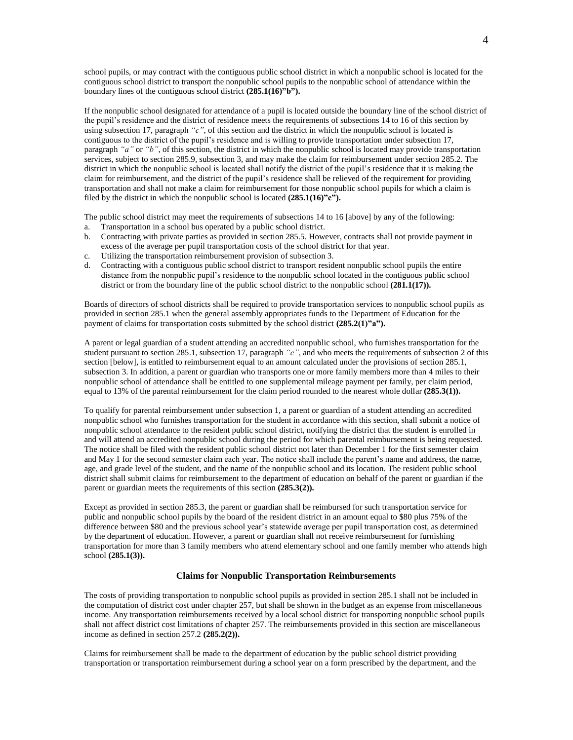school pupils, or may contract with the contiguous public school district in which a nonpublic school is located for the contiguous school district to transport the nonpublic school pupils to the nonpublic school of attendance within the boundary lines of the contiguous school district **(285.1(16)"b").**

If the nonpublic school designated for attendance of a pupil is located outside the boundary line of the school district of the pupil's residence and the district of residence meets the requirements of subsections 14 to 16 of this section by using subsection 17, paragraph *"c"*, of this section and the district in which the nonpublic school is located is contiguous to the district of the pupil's residence and is willing to provide transportation under subsection 17, paragraph *"a"* or *"b"*, of this section, the district in which the nonpublic school is located may provide transportation services, subject to section 285.9, subsection 3, and may make the claim for reimbursement under section 285.2. The district in which the nonpublic school is located shall notify the district of the pupil's residence that it is making the claim for reimbursement, and the district of the pupil's residence shall be relieved of the requirement for providing transportation and shall not make a claim for reimbursement for those nonpublic school pupils for which a claim is filed by the district in which the nonpublic school is located **(285.1(16)"c").**

The public school district may meet the requirements of subsections 14 to 16 [above] by any of the following: a. Transportation in a school bus operated by a public school district.

- b. Contracting with private parties as provided in section 285.5. However, contracts shall not provide payment in excess of the average per pupil transportation costs of the school district for that year.
- c. Utilizing the transportation reimbursement provision of subsection 3.
- d. Contracting with a contiguous public school district to transport resident nonpublic school pupils the entire distance from the nonpublic pupil's residence to the nonpublic school located in the contiguous public school district or from the boundary line of the public school district to the nonpublic school **(281.1(17)).**

Boards of directors of school districts shall be required to provide transportation services to nonpublic school pupils as provided in section 285.1 when the general assembly appropriates funds to the Department of Education for the payment of claims for transportation costs submitted by the school district **(285.2(1)"a").**

A parent or legal guardian of a student attending an accredited nonpublic school, who furnishes transportation for the student pursuant to section 285.1, subsection 17, paragraph *"c"*, and who meets the requirements of subsection 2 of this section [below], is entitled to reimbursement equal to an amount calculated under the provisions of section 285.1, subsection 3. In addition, a parent or guardian who transports one or more family members more than 4 miles to their nonpublic school of attendance shall be entitled to one supplemental mileage payment per family, per claim period, equal to 13% of the parental reimbursement for the claim period rounded to the nearest whole dollar **(285.3(1)).**

To qualify for parental reimbursement under subsection 1, a parent or guardian of a student attending an accredited nonpublic school who furnishes transportation for the student in accordance with this section, shall submit a notice of nonpublic school attendance to the resident public school district, notifying the district that the student is enrolled in and will attend an accredited nonpublic school during the period for which parental reimbursement is being requested. The notice shall be filed with the resident public school district not later than December 1 for the first semester claim and May 1 for the second semester claim each year. The notice shall include the parent's name and address, the name, age, and grade level of the student, and the name of the nonpublic school and its location. The resident public school district shall submit claims for reimbursement to the department of education on behalf of the parent or guardian if the parent or guardian meets the requirements of this section **(285.3(2)).**

Except as provided in section 285.3, the parent or guardian shall be reimbursed for such transportation service for public and nonpublic school pupils by the board of the resident district in an amount equal to \$80 plus 75% of the difference between \$80 and the previous school year's statewide average per pupil transportation cost, as determined by the department of education. However, a parent or guardian shall not receive reimbursement for furnishing transportation for more than 3 family members who attend elementary school and one family member who attends high school **(285.1(3)).**

#### **Claims for Nonpublic Transportation Reimbursements**

The costs of providing transportation to nonpublic school pupils as provided in section 285.1 shall not be included in the computation of district cost under chapter 257, but shall be shown in the budget as an expense from miscellaneous income. Any transportation reimbursements received by a local school district for transporting nonpublic school pupils shall not affect district cost limitations of chapter 257. The reimbursements provided in this section are miscellaneous income as defined in section 257.2 **(285.2(2)).**

Claims for reimbursement shall be made to the department of education by the public school district providing transportation or transportation reimbursement during a school year on a form prescribed by the department, and the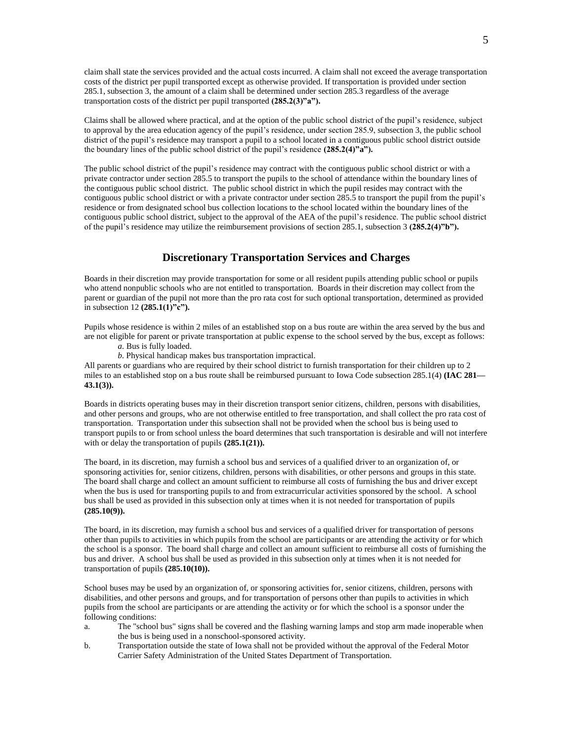claim shall state the services provided and the actual costs incurred. A claim shall not exceed the average transportation costs of the district per pupil transported except as otherwise provided. If transportation is provided under section 285.1, subsection 3, the amount of a claim shall be determined under section 285.3 regardless of the average transportation costs of the district per pupil transported **(285.2(3)"a").**

Claims shall be allowed where practical, and at the option of the public school district of the pupil's residence, subject to approval by the area education agency of the pupil's residence, under section 285.9, subsection 3, the public school district of the pupil's residence may transport a pupil to a school located in a contiguous public school district outside the boundary lines of the public school district of the pupil's residence **(285.2(4)"a").**

The public school district of the pupil's residence may contract with the contiguous public school district or with a private contractor under section 285.5 to transport the pupils to the school of attendance within the boundary lines of the contiguous public school district. The public school district in which the pupil resides may contract with the contiguous public school district or with a private contractor under section 285.5 to transport the pupil from the pupil's residence or from designated school bus collection locations to the school located within the boundary lines of the contiguous public school district, subject to the approval of the AEA of the pupil's residence. The public school district of the pupil's residence may utilize the reimbursement provisions of section 285.1, subsection 3 **(285.2(4)"b").**

### **Discretionary Transportation Services and Charges**

Boards in their discretion may provide transportation for some or all resident pupils attending public school or pupils who attend nonpublic schools who are not entitled to transportation. Boards in their discretion may collect from the parent or guardian of the pupil not more than the pro rata cost for such optional transportation, determined as provided in subsection 12 **(285.1(1)"c").**

Pupils whose residence is within 2 miles of an established stop on a bus route are within the area served by the bus and are not eligible for parent or private transportation at public expense to the school served by the bus, except as follows:

- *a.* Bus is fully loaded.
- *b.* Physical handicap makes bus transportation impractical.

All parents or guardians who are required by their school district to furnish transportation for their children up to 2 miles to an established stop on a bus route shall be reimbursed pursuant to Iowa Code subsection 285.1(4) **(IAC 281— 43.1(3)).**

Boards in districts operating buses may in their discretion transport senior citizens, children, persons with disabilities, and other persons and groups, who are not otherwise entitled to free transportation, and shall collect the pro rata cost of transportation. Transportation under this subsection shall not be provided when the school bus is being used to transport pupils to or from school unless the board determines that such transportation is desirable and will not interfere with or delay the transportation of pupils **(285.1(21)).**

The board, in its discretion, may furnish a school bus and services of a qualified driver to an organization of, or sponsoring activities for, senior citizens, children, persons with disabilities, or other persons and groups in this state. The board shall charge and collect an amount sufficient to reimburse all costs of furnishing the bus and driver except when the bus is used for transporting pupils to and from extracurricular activities sponsored by the school. A school bus shall be used as provided in this subsection only at times when it is not needed for transportation of pupils **(285.10(9)).**

The board, in its discretion, may furnish a school bus and services of a qualified driver for transportation of persons other than pupils to activities in which pupils from the school are participants or are attending the activity or for which the school is a sponsor. The board shall charge and collect an amount sufficient to reimburse all costs of furnishing the bus and driver. A school bus shall be used as provided in this subsection only at times when it is not needed for transportation of pupils **(285.10(10)).**

School buses may be used by an organization of, or sponsoring activities for, senior citizens, children, persons with disabilities, and other persons and groups, and for transportation of persons other than pupils to activities in which pupils from the school are participants or are attending the activity or for which the school is a sponsor under the following conditions:

- a. The "school bus" signs shall be covered and the flashing warning lamps and stop arm made inoperable when the bus is being used in a nonschool-sponsored activity.
- b. Transportation outside the state of Iowa shall not be provided without the approval of the Federal Motor Carrier Safety Administration of the United States Department of Transportation.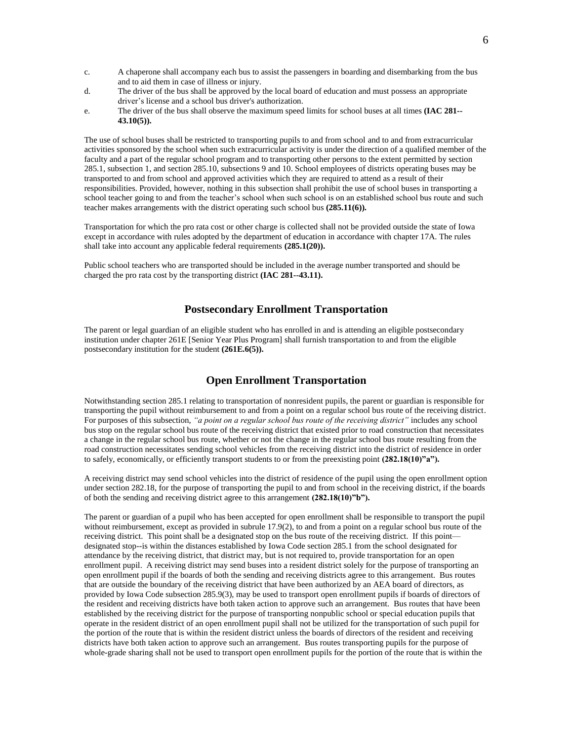- c. A chaperone shall accompany each bus to assist the passengers in boarding and disembarking from the bus and to aid them in case of illness or injury.
- d. The driver of the bus shall be approved by the local board of education and must possess an appropriate driver's license and a school bus driver's authorization.
- e. The driver of the bus shall observe the maximum speed limits for school buses at all times **(IAC 281-- 43.10(5)).**

The use of school buses shall be restricted to transporting pupils to and from school and to and from extracurricular activities sponsored by the school when such extracurricular activity is under the direction of a qualified member of the faculty and a part of the regular school program and to transporting other persons to the extent permitted by section 285.1, subsection 1, and section 285.10, subsections 9 and 10. School employees of districts operating buses may be transported to and from school and approved activities which they are required to attend as a result of their responsibilities. Provided, however, nothing in this subsection shall prohibit the use of school buses in transporting a school teacher going to and from the teacher's school when such school is on an established school bus route and such teacher makes arrangements with the district operating such school bus **(285.11(6)).**

Transportation for which the pro rata cost or other charge is collected shall not be provided outside the state of Iowa except in accordance with rules adopted by the department of education in accordance with chapter 17A. The rules shall take into account any applicable federal requirements **(285.1(20)).**

Public school teachers who are transported should be included in the average number transported and should be charged the pro rata cost by the transporting district **(IAC 281--43.11).**

### **Postsecondary Enrollment Transportation**

The parent or legal guardian of an eligible student who has enrolled in and is attending an eligible postsecondary institution under chapter 261E [Senior Year Plus Program] shall furnish transportation to and from the eligible postsecondary institution for the student **(261E.6(5)).**

## **Open Enrollment Transportation**

Notwithstanding section 285.1 relating to transportation of nonresident pupils, the parent or guardian is responsible for transporting the pupil without reimbursement to and from a point on a regular school bus route of the receiving district. For purposes of this subsection, *"a point on a regular school bus route of the receiving district"* includes any school bus stop on the regular school bus route of the receiving district that existed prior to road construction that necessitates a change in the regular school bus route, whether or not the change in the regular school bus route resulting from the road construction necessitates sending school vehicles from the receiving district into the district of residence in order to safely, economically, or efficiently transport students to or from the preexisting point **(282.18(10)"a").**

A receiving district may send school vehicles into the district of residence of the pupil using the open enrollment option under section 282.18, for the purpose of transporting the pupil to and from school in the receiving district, if the boards of both the sending and receiving district agree to this arrangement **(282.18(10)"b").**

The parent or guardian of a pupil who has been accepted for open enrollment shall be responsible to transport the pupil without reimbursement, except as provided in subrule 17.9(2), to and from a point on a regular school bus route of the receiving district. This point shall be a designated stop on the bus route of the receiving district. If this point designated stop--is within the distances established by Iowa Code section 285.1 from the school designated for attendance by the receiving district, that district may, but is not required to, provide transportation for an open enrollment pupil. A receiving district may send buses into a resident district solely for the purpose of transporting an open enrollment pupil if the boards of both the sending and receiving districts agree to this arrangement. Bus routes that are outside the boundary of the receiving district that have been authorized by an AEA board of directors, as provided by Iowa Code subsection 285.9(3), may be used to transport open enrollment pupils if boards of directors of the resident and receiving districts have both taken action to approve such an arrangement. Bus routes that have been established by the receiving district for the purpose of transporting nonpublic school or special education pupils that operate in the resident district of an open enrollment pupil shall not be utilized for the transportation of such pupil for the portion of the route that is within the resident district unless the boards of directors of the resident and receiving districts have both taken action to approve such an arrangement. Bus routes transporting pupils for the purpose of whole-grade sharing shall not be used to transport open enrollment pupils for the portion of the route that is within the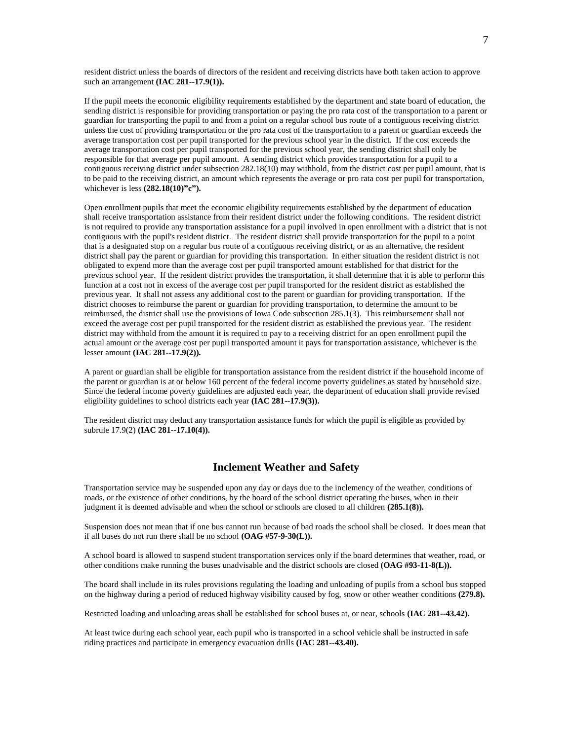resident district unless the boards of directors of the resident and receiving districts have both taken action to approve such an arrangement **(IAC 281--17.9(1)).**

If the pupil meets the economic eligibility requirements established by the department and state board of education, the sending district is responsible for providing transportation or paying the pro rata cost of the transportation to a parent or guardian for transporting the pupil to and from a point on a regular school bus route of a contiguous receiving district unless the cost of providing transportation or the pro rata cost of the transportation to a parent or guardian exceeds the average transportation cost per pupil transported for the previous school year in the district. If the cost exceeds the average transportation cost per pupil transported for the previous school year, the sending district shall only be responsible for that average per pupil amount. A sending district which provides transportation for a pupil to a contiguous receiving district under subsection 282.18(10) may withhold, from the district cost per pupil amount, that is to be paid to the receiving district, an amount which represents the average or pro rata cost per pupil for transportation, whichever is less  $(282.18(10)$ "c").

Open enrollment pupils that meet the economic eligibility requirements established by the department of education shall receive transportation assistance from their resident district under the following conditions. The resident district is not required to provide any transportation assistance for a pupil involved in open enrollment with a district that is not contiguous with the pupil's resident district. The resident district shall provide transportation for the pupil to a point that is a designated stop on a regular bus route of a contiguous receiving district, or as an alternative, the resident district shall pay the parent or guardian for providing this transportation. In either situation the resident district is not obligated to expend more than the average cost per pupil transported amount established for that district for the previous school year. If the resident district provides the transportation, it shall determine that it is able to perform this function at a cost not in excess of the average cost per pupil transported for the resident district as established the previous year. It shall not assess any additional cost to the parent or guardian for providing transportation. If the district chooses to reimburse the parent or guardian for providing transportation, to determine the amount to be reimbursed, the district shall use the provisions of Iowa Code subsection 285.1(3). This reimbursement shall not exceed the average cost per pupil transported for the resident district as established the previous year. The resident district may withhold from the amount it is required to pay to a receiving district for an open enrollment pupil the actual amount or the average cost per pupil transported amount it pays for transportation assistance, whichever is the lesser amount **(IAC 281--17.9(2)).**

A parent or guardian shall be eligible for transportation assistance from the resident district if the household income of the parent or guardian is at or below 160 percent of the federal income poverty guidelines as stated by household size. Since the federal income poverty guidelines are adjusted each year, the department of education shall provide revised eligibility guidelines to school districts each year **(IAC 281--17.9(3)).**

The resident district may deduct any transportation assistance funds for which the pupil is eligible as provided by subrule 17.9(2) **(IAC 281--17.10(4)).**

#### **Inclement Weather and Safety**

Transportation service may be suspended upon any day or days due to the inclemency of the weather, conditions of roads, or the existence of other conditions, by the board of the school district operating the buses, when in their judgment it is deemed advisable and when the school or schools are closed to all children **(285.1(8)).**

Suspension does not mean that if one bus cannot run because of bad roads the school shall be closed. It does mean that if all buses do not run there shall be no school **(OAG #57-9-30(L)).**

A school board is allowed to suspend student transportation services only if the board determines that weather, road, or other conditions make running the buses unadvisable and the district schools are closed **(OAG #93-11-8(L)).**

The board shall include in its rules provisions regulating the loading and unloading of pupils from a school bus stopped on the highway during a period of reduced highway visibility caused by fog, snow or other weather conditions **(279.8).**

Restricted loading and unloading areas shall be established for school buses at, or near, schools **(IAC 281--43.42).**

At least twice during each school year, each pupil who is transported in a school vehicle shall be instructed in safe riding practices and participate in emergency evacuation drills **(IAC 281--43.40).**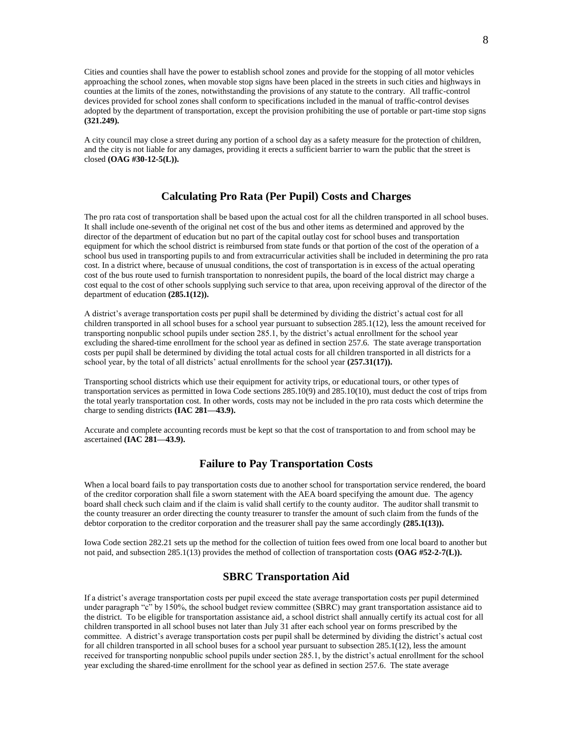Cities and counties shall have the power to establish school zones and provide for the stopping of all motor vehicles approaching the school zones, when movable stop signs have been placed in the streets in such cities and highways in counties at the limits of the zones, notwithstanding the provisions of any statute to the contrary. All traffic-control devices provided for school zones shall conform to specifications included in the manual of traffic-control devises adopted by the department of transportation, except the provision prohibiting the use of portable or part-time stop signs **(321.249).**

A city council may close a street during any portion of a school day as a safety measure for the protection of children, and the city is not liable for any damages, providing it erects a sufficient barrier to warn the public that the street is closed **(OAG #30-12-5(L)).**

## **Calculating Pro Rata (Per Pupil) Costs and Charges**

The pro rata cost of transportation shall be based upon the actual cost for all the children transported in all school buses. It shall include one-seventh of the original net cost of the bus and other items as determined and approved by the director of the department of education but no part of the capital outlay cost for school buses and transportation equipment for which the school district is reimbursed from state funds or that portion of the cost of the operation of a school bus used in transporting pupils to and from extracurricular activities shall be included in determining the pro rata cost. In a district where, because of unusual conditions, the cost of transportation is in excess of the actual operating cost of the bus route used to furnish transportation to nonresident pupils, the board of the local district may charge a cost equal to the cost of other schools supplying such service to that area, upon receiving approval of the director of the department of education **(285.1(12)).**

A district's average transportation costs per pupil shall be determined by dividing the district's actual cost for all children transported in all school buses for a school year pursuant to subsection 285.1(12), less the amount received for transporting nonpublic school pupils under section 285.1, by the district's actual enrollment for the school year excluding the shared-time enrollment for the school year as defined in section 257.6. The state average transportation costs per pupil shall be determined by dividing the total actual costs for all children transported in all districts for a school year, by the total of all districts' actual enrollments for the school year **(257.31(17)).**

Transporting school districts which use their equipment for activity trips, or educational tours, or other types of transportation services as permitted in Iowa Code sections 285.10(9) and 285.10(10), must deduct the cost of trips from the total yearly transportation cost. In other words, costs may not be included in the pro rata costs which determine the charge to sending districts **(IAC 281—43.9).**

Accurate and complete accounting records must be kept so that the cost of transportation to and from school may be ascertained **(IAC 281—43.9).**

#### **Failure to Pay Transportation Costs**

When a local board fails to pay transportation costs due to another school for transportation service rendered, the board of the creditor corporation shall file a sworn statement with the AEA board specifying the amount due. The agency board shall check such claim and if the claim is valid shall certify to the county auditor. The auditor shall transmit to the county treasurer an order directing the county treasurer to transfer the amount of such claim from the funds of the debtor corporation to the creditor corporation and the treasurer shall pay the same accordingly **(285.1(13)).**

Iowa Code section 282.21 sets up the method for the collection of tuition fees owed from one local board to another but not paid, and subsection 285.1(13) provides the method of collection of transportation costs **(OAG #52-2-7(L)).**

#### **SBRC Transportation Aid**

If a district's average transportation costs per pupil exceed the state average transportation costs per pupil determined under paragraph "c" by 150%, the school budget review committee (SBRC) may grant transportation assistance aid to the district. To be eligible for transportation assistance aid, a school district shall annually certify its actual cost for all children transported in all school buses not later than July 31 after each school year on forms prescribed by the committee. A district's average transportation costs per pupil shall be determined by dividing the district's actual cost for all children transported in all school buses for a school year pursuant to subsection 285.1(12), less the amount received for transporting nonpublic school pupils under section 285.1, by the district's actual enrollment for the school year excluding the shared-time enrollment for the school year as defined in section 257.6. The state average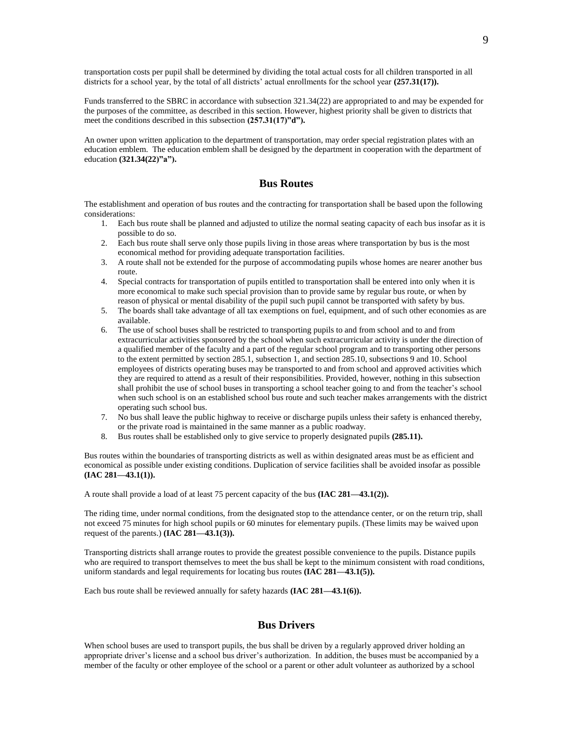transportation costs per pupil shall be determined by dividing the total actual costs for all children transported in all districts for a school year, by the total of all districts' actual enrollments for the school year  $(257.31(17))$ .

Funds transferred to the SBRC in accordance with subsection 321.34(22) are appropriated to and may be expended for the purposes of the committee, as described in this section. However, highest priority shall be given to districts that meet the conditions described in this subsection **(257.31(17)"d").**

An owner upon written application to the department of transportation, may order special registration plates with an education emblem. The education emblem shall be designed by the department in cooperation with the department of education **(321.34(22)"a").**

#### **Bus Routes**

The establishment and operation of bus routes and the contracting for transportation shall be based upon the following considerations:

- 1. Each bus route shall be planned and adjusted to utilize the normal seating capacity of each bus insofar as it is possible to do so.
- 2. Each bus route shall serve only those pupils living in those areas where transportation by bus is the most economical method for providing adequate transportation facilities.
- 3. A route shall not be extended for the purpose of accommodating pupils whose homes are nearer another bus route.
- 4. Special contracts for transportation of pupils entitled to transportation shall be entered into only when it is more economical to make such special provision than to provide same by regular bus route, or when by reason of physical or mental disability of the pupil such pupil cannot be transported with safety by bus.
- 5. The boards shall take advantage of all tax exemptions on fuel, equipment, and of such other economies as are available.
- 6. The use of school buses shall be restricted to transporting pupils to and from school and to and from extracurricular activities sponsored by the school when such extracurricular activity is under the direction of a qualified member of the faculty and a part of the regular school program and to transporting other persons to the extent permitted by section 285.1, subsection 1, and section 285.10, subsections 9 and 10. School employees of districts operating buses may be transported to and from school and approved activities which they are required to attend as a result of their responsibilities. Provided, however, nothing in this subsection shall prohibit the use of school buses in transporting a school teacher going to and from the teacher's school when such school is on an established school bus route and such teacher makes arrangements with the district operating such school bus.
- 7. No bus shall leave the public highway to receive or discharge pupils unless their safety is enhanced thereby, or the private road is maintained in the same manner as a public roadway.
- 8. Bus routes shall be established only to give service to properly designated pupils **(285.11).**

Bus routes within the boundaries of transporting districts as well as within designated areas must be as efficient and economical as possible under existing conditions. Duplication of service facilities shall be avoided insofar as possible **(IAC 281—43.1(1)).**

A route shall provide a load of at least 75 percent capacity of the bus **(IAC 281—43.1(2)).**

The riding time, under normal conditions, from the designated stop to the attendance center, or on the return trip, shall not exceed 75 minutes for high school pupils or 60 minutes for elementary pupils. (These limits may be waived upon request of the parents.) **(IAC 281—43.1(3)).**

Transporting districts shall arrange routes to provide the greatest possible convenience to the pupils. Distance pupils who are required to transport themselves to meet the bus shall be kept to the minimum consistent with road conditions, uniform standards and legal requirements for locating bus routes **(IAC 281—43.1(5)).**

Each bus route shall be reviewed annually for safety hazards **(IAC 281—43.1(6)).**

#### **Bus Drivers**

When school buses are used to transport pupils, the bus shall be driven by a regularly approved driver holding an appropriate driver's license and a school bus driver's authorization. In addition, the buses must be accompanied by a member of the faculty or other employee of the school or a parent or other adult volunteer as authorized by a school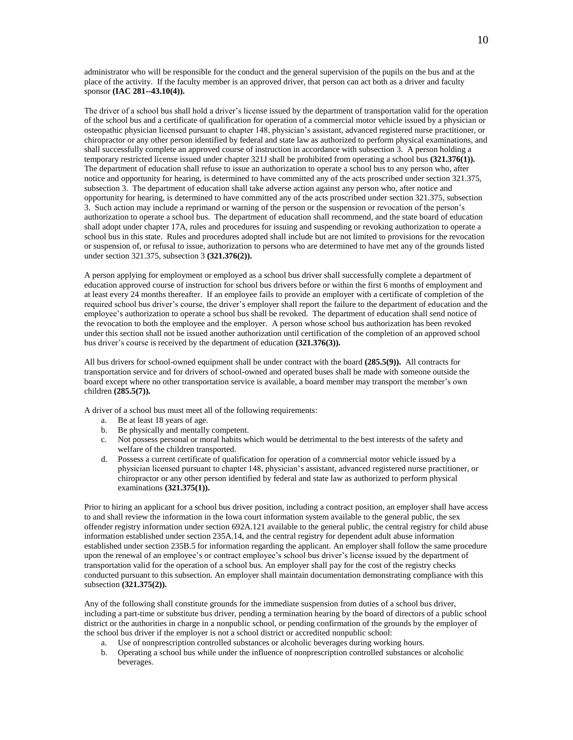administrator who will be responsible for the conduct and the general supervision of the pupils on the bus and at the place of the activity. If the faculty member is an approved driver, that person can act both as a driver and faculty sponsor **(IAC 281--43.10(4)).**

The driver of a school bus shall hold a driver's license issued by the department of transportation valid for the operation of the school bus and a certificate of qualification for operation of a commercial motor vehicle issued by a physician or osteopathic physician licensed pursuant to chapter 148, physician's assistant, advanced registered nurse practitioner, or chiropractor or any other person identified by federal and state law as authorized to perform physical examinations, and shall successfully complete an approved course of instruction in accordance with subsection 3. A person holding a temporary restricted license issued under chapter 321J shall be prohibited from operating a school bus **(321.376(1)).** The department of education shall refuse to issue an authorization to operate a school bus to any person who, after notice and opportunity for hearing, is determined to have committed any of the acts proscribed under section 321.375, subsection 3. The department of education shall take adverse action against any person who, after notice and opportunity for hearing, is determined to have committed any of the acts proscribed under section 321.375, subsection 3. Such action may include a reprimand or warning of the person or the suspension or revocation of the person's authorization to operate a school bus. The department of education shall recommend, and the state board of education shall adopt under chapter 17A, rules and procedures for issuing and suspending or revoking authorization to operate a school bus in this state. Rules and procedures adopted shall include but are not limited to provisions for the revocation or suspension of, or refusal to issue, authorization to persons who are determined to have met any of the grounds listed under section 321.375, subsection 3 **(321.376(2)).**

A person applying for employment or employed as a school bus driver shall successfully complete a department of education approved course of instruction for school bus drivers before or within the first 6 months of employment and at least every 24 months thereafter. If an employee fails to provide an employer with a certificate of completion of the required school bus driver's course, the driver's employer shall report the failure to the department of education and the employee's authorization to operate a school bus shall be revoked. The department of education shall send notice of the revocation to both the employee and the employer. A person whose school bus authorization has been revoked under this section shall not be issued another authorization until certification of the completion of an approved school bus driver's course is received by the department of education **(321.376(3)).**

All bus drivers for school-owned equipment shall be under contract with the board **(285.5(9)).** All contracts for transportation service and for drivers of school-owned and operated buses shall be made with someone outside the board except where no other transportation service is available, a board member may transport the member's own children **(285.5(7)).**

A driver of a school bus must meet all of the following requirements:

- a. Be at least 18 years of age.
- b. Be physically and mentally competent.
- c. Not possess personal or moral habits which would be detrimental to the best interests of the safety and welfare of the children transported.
- d. Possess a current certificate of qualification for operation of a commercial motor vehicle issued by a physician licensed pursuant to chapter 148, physician's assistant, advanced registered nurse practitioner, or chiropractor or any other person identified by federal and state law as authorized to perform physical examinations **(321.375(1)).**

Prior to hiring an applicant for a school bus driver position, including a contract position, an employer shall have access to and shall review the information in the Iowa court information system available to the general public, the sex offender registry information under section 692A.121 available to the general public, the central registry for child abuse information established under section 235A.14, and the central registry for dependent adult abuse information established under section 235B.5 for information regarding the applicant. An employer shall follow the same procedure upon the renewal of an employee's or contract employee's school bus driver's license issued by the department of transportation valid for the operation of a school bus. An employer shall pay for the cost of the registry checks conducted pursuant to this subsection. An employer shall maintain documentation demonstrating compliance with this subsection **(321.375(2)).**

Any of the following shall constitute grounds for the immediate suspension from duties of a school bus driver, including a part-time or substitute bus driver, pending a termination hearing by the board of directors of a public school district or the authorities in charge in a nonpublic school, or pending confirmation of the grounds by the employer of the school bus driver if the employer is not a school district or accredited nonpublic school:

- a. Use of nonprescription controlled substances or alcoholic beverages during working hours.
- b. Operating a school bus while under the influence of nonprescription controlled substances or alcoholic beverages.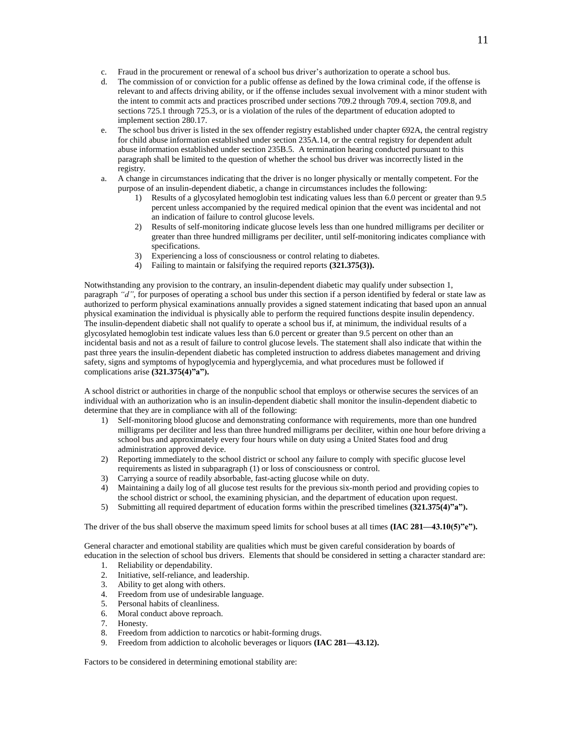- c. Fraud in the procurement or renewal of a school bus driver's authorization to operate a school bus.
- d. The commission of or conviction for a public offense as defined by the Iowa criminal code, if the offense is relevant to and affects driving ability, or if the offense includes sexual involvement with a minor student with the intent to commit acts and practices proscribed under sections 709.2 through 709.4, section 709.8, and sections 725.1 through 725.3, or is a violation of the rules of the department of education adopted to implement section 280.17.
- e. The school bus driver is listed in the sex offender registry established under chapter 692A, the central registry for child abuse information established under section 235A.14, or the central registry for dependent adult abuse information established under section 235B.5. A termination hearing conducted pursuant to this paragraph shall be limited to the question of whether the school bus driver was incorrectly listed in the registry.
- a. A change in circumstances indicating that the driver is no longer physically or mentally competent. For the purpose of an insulin-dependent diabetic, a change in circumstances includes the following:
	- 1) Results of a glycosylated hemoglobin test indicating values less than 6.0 percent or greater than 9.5 percent unless accompanied by the required medical opinion that the event was incidental and not an indication of failure to control glucose levels.
	- 2) Results of self-monitoring indicate glucose levels less than one hundred milligrams per deciliter or greater than three hundred milligrams per deciliter, until self-monitoring indicates compliance with specifications.
	- 3) Experiencing a loss of consciousness or control relating to diabetes.
	- 4) Failing to maintain or falsifying the required reports **(321.375(3)).**

Notwithstanding any provision to the contrary, an insulin-dependent diabetic may qualify under subsection 1, paragraph *"d"*, for purposes of operating a school bus under this section if a person identified by federal or state law as authorized to perform physical examinations annually provides a signed statement indicating that based upon an annual physical examination the individual is physically able to perform the required functions despite insulin dependency. The insulin-dependent diabetic shall not qualify to operate a school bus if, at minimum, the individual results of a glycosylated hemoglobin test indicate values less than 6.0 percent or greater than 9.5 percent on other than an incidental basis and not as a result of failure to control glucose levels. The statement shall also indicate that within the past three years the insulin-dependent diabetic has completed instruction to address diabetes management and driving safety, signs and symptoms of hypoglycemia and hyperglycemia, and what procedures must be followed if complications arise **(321.375(4)"a").**

A school district or authorities in charge of the nonpublic school that employs or otherwise secures the services of an individual with an authorization who is an insulin-dependent diabetic shall monitor the insulin-dependent diabetic to determine that they are in compliance with all of the following:

- 1) Self-monitoring blood glucose and demonstrating conformance with requirements, more than one hundred milligrams per deciliter and less than three hundred milligrams per deciliter, within one hour before driving a school bus and approximately every four hours while on duty using a United States food and drug administration approved device.
- 2) Reporting immediately to the school district or school any failure to comply with specific glucose level requirements as listed in subparagraph (1) or loss of consciousness or control.
- 3) Carrying a source of readily absorbable, fast-acting glucose while on duty.
- 4) Maintaining a daily log of all glucose test results for the previous six-month period and providing copies to the school district or school, the examining physician, and the department of education upon request.
- 5) Submitting all required department of education forms within the prescribed timelines **(321.375(4)"a").**

The driver of the bus shall observe the maximum speed limits for school buses at all times **(IAC 281—43.10(5)"e").**

General character and emotional stability are qualities which must be given careful consideration by boards of education in the selection of school bus drivers. Elements that should be considered in setting a character standard are:

- 1. Reliability or dependability.
- 2. Initiative, self-reliance, and leadership.
- 3. Ability to get along with others.
- 4. Freedom from use of undesirable language.
- 5. Personal habits of cleanliness.
- 6. Moral conduct above reproach.
- 7. Honesty.
- 8. Freedom from addiction to narcotics or habit-forming drugs.
- 9. Freedom from addiction to alcoholic beverages or liquors **(IAC 281—43.12).**

Factors to be considered in determining emotional stability are: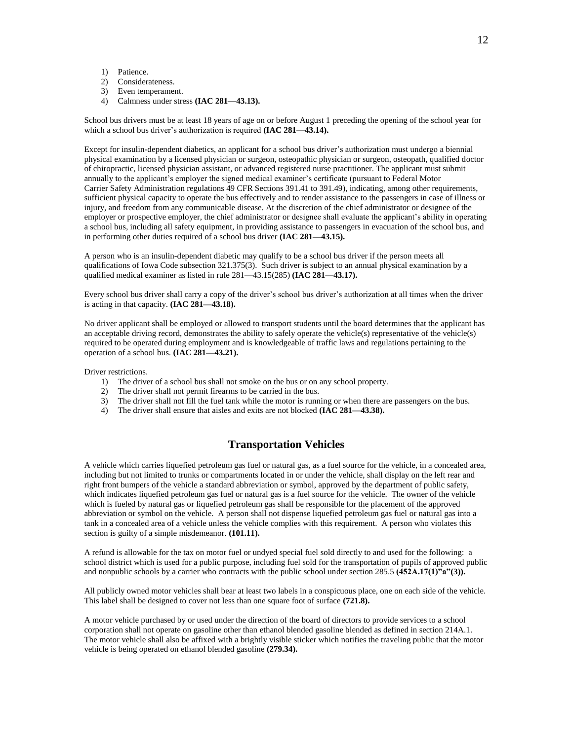- 1) Patience.
- 2) Considerateness.
- 3) Even temperament.
- 4) Calmness under stress **(IAC 281—43.13).**

School bus drivers must be at least 18 years of age on or before August 1 preceding the opening of the school year for which a school bus driver's authorization is required **(IAC 281—43.14).**

Except for insulin-dependent diabetics, an applicant for a school bus driver's authorization must undergo a biennial physical examination by a licensed physician or surgeon, osteopathic physician or surgeon, osteopath, qualified doctor of chiropractic, licensed physician assistant, or advanced registered nurse practitioner. The applicant must submit annually to the applicant's employer the signed medical examiner's certificate (pursuant to Federal Motor Carrier Safety Administration regulations 49 CFR Sections 391.41 to 391.49), indicating, among other requirements, sufficient physical capacity to operate the bus effectively and to render assistance to the passengers in case of illness or injury, and freedom from any communicable disease. At the discretion of the chief administrator or designee of the employer or prospective employer, the chief administrator or designee shall evaluate the applicant's ability in operating a school bus, including all safety equipment, in providing assistance to passengers in evacuation of the school bus, and in performing other duties required of a school bus driver **(IAC 281—43.15).**

A person who is an insulin-dependent diabetic may qualify to be a school bus driver if the person meets all qualifications of Iowa Code subsection 321.375(3). Such driver is subject to an annual physical examination by a qualified medical examiner as listed in rule 281—43.15(285) **(IAC 281—43.17).**

Every school bus driver shall carry a copy of the driver's school bus driver's authorization at all times when the driver is acting in that capacity. **(IAC 281—43.18).**

No driver applicant shall be employed or allowed to transport students until the board determines that the applicant has an acceptable driving record, demonstrates the ability to safely operate the vehicle(s) representative of the vehicle(s) required to be operated during employment and is knowledgeable of traffic laws and regulations pertaining to the operation of a school bus. **(IAC 281—43.21).**

Driver restrictions.

- 1) The driver of a school bus shall not smoke on the bus or on any school property.
- 2) The driver shall not permit firearms to be carried in the bus.
- 3) The driver shall not fill the fuel tank while the motor is running or when there are passengers on the bus.
- 4) The driver shall ensure that aisles and exits are not blocked **(IAC 281—43.38).**

#### **Transportation Vehicles**

A vehicle which carries liquefied petroleum gas fuel or natural gas, as a fuel source for the vehicle, in a concealed area, including but not limited to trunks or compartments located in or under the vehicle, shall display on the left rear and right front bumpers of the vehicle a standard abbreviation or symbol, approved by the department of public safety, which indicates liquefied petroleum gas fuel or natural gas is a fuel source for the vehicle. The owner of the vehicle which is fueled by natural gas or liquefied petroleum gas shall be responsible for the placement of the approved abbreviation or symbol on the vehicle. A person shall not dispense liquefied petroleum gas fuel or natural gas into a tank in a concealed area of a vehicle unless the vehicle complies with this requirement. A person who violates this section is guilty of a simple misdemeanor. **(101.11).**

A refund is allowable for the tax on motor fuel or undyed special fuel sold directly to and used for the following: a school district which is used for a public purpose, including fuel sold for the transportation of pupils of approved public and nonpublic schools by a carrier who contracts with the public school under section 285.5 **(452A.17(1)"a"(3)).**

All publicly owned motor vehicles shall bear at least two labels in a conspicuous place, one on each side of the vehicle. This label shall be designed to cover not less than one square foot of surface **(721.8).**

A motor vehicle purchased by or used under the direction of the board of directors to provide services to a school corporation shall not operate on gasoline other than ethanol blended gasoline blended as defined in section 214A.1. The motor vehicle shall also be affixed with a brightly visible sticker which notifies the traveling public that the motor vehicle is being operated on ethanol blended gasoline **(279.34).**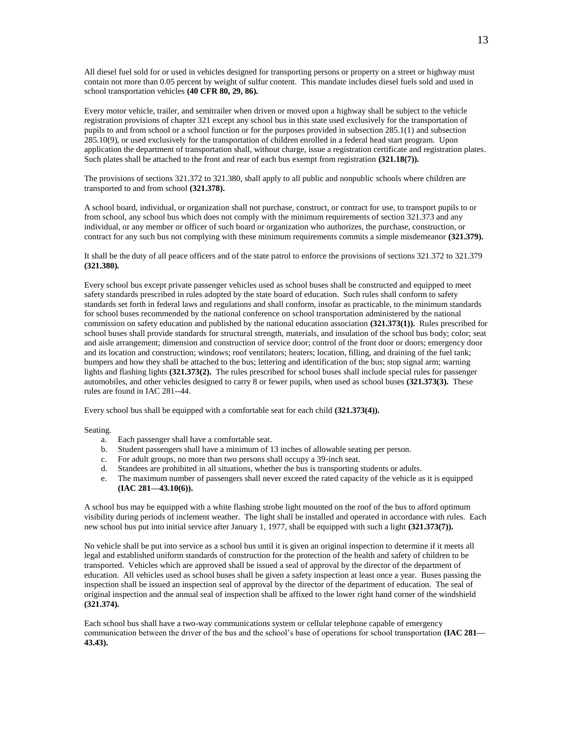All diesel fuel sold for or used in vehicles designed for transporting persons or property on a street or highway must contain not more than 0.05 percent by weight of sulfur content. This mandate includes diesel fuels sold and used in school transportation vehicles **(40 CFR 80, 29, 86).**

Every motor vehicle, trailer, and semitrailer when driven or moved upon a highway shall be subject to the vehicle registration provisions of chapter 321 except any school bus in this state used exclusively for the transportation of pupils to and from school or a school function or for the purposes provided in subsection 285.1(1) and subsection 285.10(9), or used exclusively for the transportation of children enrolled in a federal head start program. Upon application the department of transportation shall, without charge, issue a registration certificate and registration plates. Such plates shall be attached to the front and rear of each bus exempt from registration **(321.18(7)).**

The provisions of sections 321.372 to 321.380, shall apply to all public and nonpublic schools where children are transported to and from school **(321.378).**

A school board, individual, or organization shall not purchase, construct, or contract for use, to transport pupils to or from school, any school bus which does not comply with the minimum requirements of section 321.373 and any individual, or any member or officer of such board or organization who authorizes, the purchase, construction, or contract for any such bus not complying with these minimum requirements commits a simple misdemeanor **(321.379).**

It shall be the duty of all peace officers and of the state patrol to enforce the provisions of sections 321.372 to 321.379 **(321.380).**

Every school bus except private passenger vehicles used as school buses shall be constructed and equipped to meet safety standards prescribed in rules adopted by the state board of education. Such rules shall conform to safety standards set forth in federal laws and regulations and shall conform, insofar as practicable, to the minimum standards for school buses recommended by the national conference on school transportation administered by the national commission on safety education and published by the national education association **(321.373(1)).** Rules prescribed for school buses shall provide standards for structural strength, materials, and insulation of the school bus body; color; seat and aisle arrangement; dimension and construction of service door; control of the front door or doors; emergency door and its location and construction; windows; roof ventilators; heaters; location, filling, and draining of the fuel tank; bumpers and how they shall be attached to the bus; lettering and identification of the bus; stop signal arm; warning lights and flashing lights **(321.373(2).** The rules prescribed for school buses shall include special rules for passenger automobiles, and other vehicles designed to carry 8 or fewer pupils, when used as school buses **(321.373(3).** These rules are found in IAC 281--44.

Every school bus shall be equipped with a comfortable seat for each child **(321.373(4)).**

Seating.

- a. Each passenger shall have a comfortable seat.
- b. Student passengers shall have a minimum of 13 inches of allowable seating per person.
- c. For adult groups, no more than two persons shall occupy a 39-inch seat.
- 
- d. Standees are prohibited in all situations, whether the bus is transporting students or adults.<br>e. The maximum number of passengers shall never exceed the rated canacity of the vehicle as The maximum number of passengers shall never exceed the rated capacity of the vehicle as it is equipped **(IAC 281—43.10(6)).**

A school bus may be equipped with a white flashing strobe light mounted on the roof of the bus to afford optimum visibility during periods of inclement weather. The light shall be installed and operated in accordance with rules. Each new school bus put into initial service after January 1, 1977, shall be equipped with such a light **(321.373(7)).**

No vehicle shall be put into service as a school bus until it is given an original inspection to determine if it meets all legal and established uniform standards of construction for the protection of the health and safety of children to be transported. Vehicles which are approved shall be issued a seal of approval by the director of the department of education. All vehicles used as school buses shall be given a safety inspection at least once a year. Buses passing the inspection shall be issued an inspection seal of approval by the director of the department of education. The seal of original inspection and the annual seal of inspection shall be affixed to the lower right hand corner of the windshield **(321.374).**

Each school bus shall have a two-way communications system or cellular telephone capable of emergency communication between the driver of the bus and the school's base of operations for school transportation **(IAC 281— 43.43).**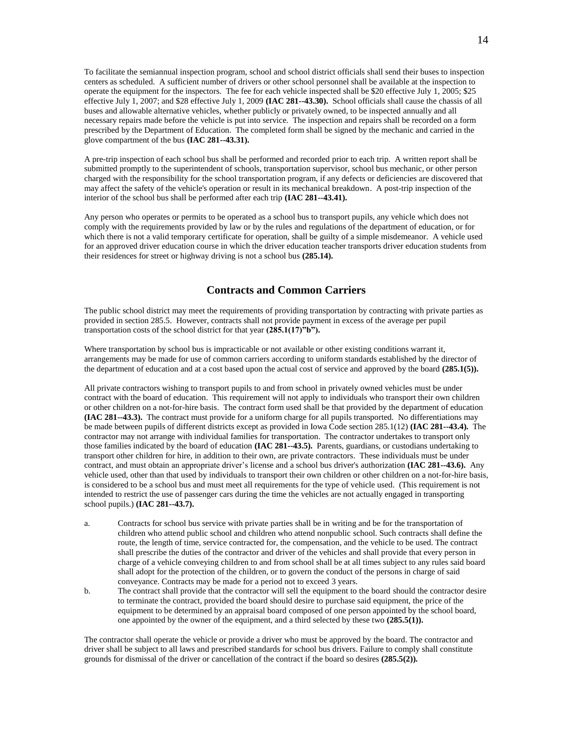To facilitate the semiannual inspection program, school and school district officials shall send their buses to inspection centers as scheduled. A sufficient number of drivers or other school personnel shall be available at the inspection to operate the equipment for the inspectors. The fee for each vehicle inspected shall be \$20 effective July 1, 2005; \$25 effective July 1, 2007; and \$28 effective July 1, 2009 **(IAC 281--43.30).** School officials shall cause the chassis of all buses and allowable alternative vehicles, whether publicly or privately owned, to be inspected annually and all necessary repairs made before the vehicle is put into service. The inspection and repairs shall be recorded on a form prescribed by the Department of Education. The completed form shall be signed by the mechanic and carried in the glove compartment of the bus **(IAC 281--43.31).**

A pre-trip inspection of each school bus shall be performed and recorded prior to each trip. A written report shall be submitted promptly to the superintendent of schools, transportation supervisor, school bus mechanic, or other person charged with the responsibility for the school transportation program, if any defects or deficiencies are discovered that may affect the safety of the vehicle's operation or result in its mechanical breakdown. A post-trip inspection of the interior of the school bus shall be performed after each trip **(IAC 281--43.41).**

Any person who operates or permits to be operated as a school bus to transport pupils, any vehicle which does not comply with the requirements provided by law or by the rules and regulations of the department of education, or for which there is not a valid temporary certificate for operation, shall be guilty of a simple misdemeanor. A vehicle used for an approved driver education course in which the driver education teacher transports driver education students from their residences for street or highway driving is not a school bus **(285.14).**

#### **Contracts and Common Carriers**

The public school district may meet the requirements of providing transportation by contracting with private parties as provided in section 285.5. However, contracts shall not provide payment in excess of the average per pupil transportation costs of the school district for that year **(285.1(17)"b").**

Where transportation by school bus is impracticable or not available or other existing conditions warrant it, arrangements may be made for use of common carriers according to uniform standards established by the director of the department of education and at a cost based upon the actual cost of service and approved by the board **(285.1(5)).**

All private contractors wishing to transport pupils to and from school in privately owned vehicles must be under contract with the board of education. This requirement will not apply to individuals who transport their own children or other children on a not-for-hire basis. The contract form used shall be that provided by the department of education **(IAC 281--43.3).** The contract must provide for a uniform charge for all pupils transported. No differentiations may be made between pupils of different districts except as provided in Iowa Code section 285.1(12) **(IAC 281--43.4).** The contractor may not arrange with individual families for transportation. The contractor undertakes to transport only those families indicated by the board of education **(IAC 281--43.5).** Parents, guardians, or custodians undertaking to transport other children for hire, in addition to their own, are private contractors. These individuals must be under contract, and must obtain an appropriate driver's license and a school bus driver's authorization **(IAC 281--43.6).** Any vehicle used, other than that used by individuals to transport their own children or other children on a not-for-hire basis, is considered to be a school bus and must meet all requirements for the type of vehicle used. (This requirement is not intended to restrict the use of passenger cars during the time the vehicles are not actually engaged in transporting school pupils.) **(IAC 281--43.7).**

- a. Contracts for school bus service with private parties shall be in writing and be for the transportation of children who attend public school and children who attend nonpublic school. Such contracts shall define the route, the length of time, service contracted for, the compensation, and the vehicle to be used. The contract shall prescribe the duties of the contractor and driver of the vehicles and shall provide that every person in charge of a vehicle conveying children to and from school shall be at all times subject to any rules said board shall adopt for the protection of the children, or to govern the conduct of the persons in charge of said conveyance. Contracts may be made for a period not to exceed 3 years.
- b. The contract shall provide that the contractor will sell the equipment to the board should the contractor desire to terminate the contract, provided the board should desire to purchase said equipment, the price of the equipment to be determined by an appraisal board composed of one person appointed by the school board, one appointed by the owner of the equipment, and a third selected by these two **(285.5(1)).**

The contractor shall operate the vehicle or provide a driver who must be approved by the board. The contractor and driver shall be subject to all laws and prescribed standards for school bus drivers. Failure to comply shall constitute grounds for dismissal of the driver or cancellation of the contract if the board so desires **(285.5(2)).**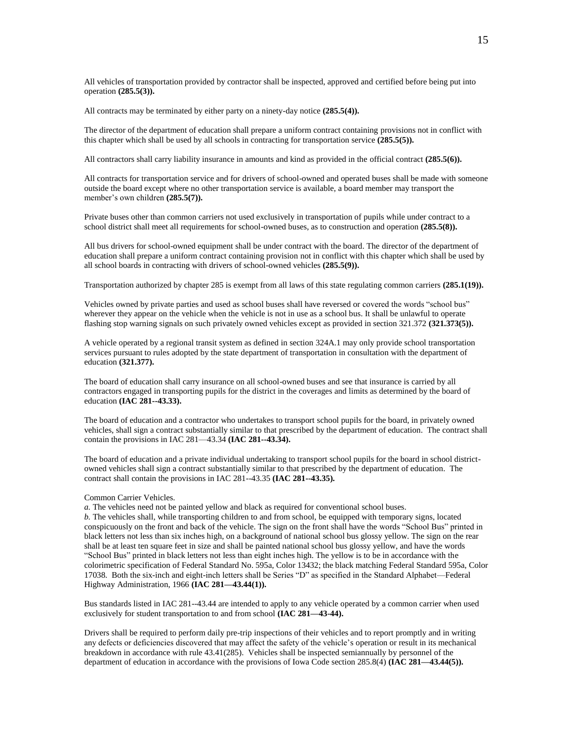All vehicles of transportation provided by contractor shall be inspected, approved and certified before being put into operation **(285.5(3)).**

All contracts may be terminated by either party on a ninety-day notice **(285.5(4)).**

The director of the department of education shall prepare a uniform contract containing provisions not in conflict with this chapter which shall be used by all schools in contracting for transportation service **(285.5(5)).**

All contractors shall carry liability insurance in amounts and kind as provided in the official contract **(285.5(6)).**

All contracts for transportation service and for drivers of school-owned and operated buses shall be made with someone outside the board except where no other transportation service is available, a board member may transport the member's own children **(285.5(7)).**

Private buses other than common carriers not used exclusively in transportation of pupils while under contract to a school district shall meet all requirements for school-owned buses, as to construction and operation **(285.5(8)).**

All bus drivers for school-owned equipment shall be under contract with the board. The director of the department of education shall prepare a uniform contract containing provision not in conflict with this chapter which shall be used by all school boards in contracting with drivers of school-owned vehicles **(285.5(9)).**

Transportation authorized by chapter 285 is exempt from all laws of this state regulating common carriers **(285.1(19)).**

Vehicles owned by private parties and used as school buses shall have reversed or covered the words "school bus" wherever they appear on the vehicle when the vehicle is not in use as a school bus. It shall be unlawful to operate flashing stop warning signals on such privately owned vehicles except as provided in section 321.372 **(321.373(5)).**

A vehicle operated by a regional transit system as defined in section 324A.1 may only provide school transportation services pursuant to rules adopted by the state department of transportation in consultation with the department of education **(321.377).**

The board of education shall carry insurance on all school-owned buses and see that insurance is carried by all contractors engaged in transporting pupils for the district in the coverages and limits as determined by the board of education **(IAC 281--43.33).**

The board of education and a contractor who undertakes to transport school pupils for the board, in privately owned vehicles, shall sign a contract substantially similar to that prescribed by the department of education. The contract shall contain the provisions in IAC 281—43.34 **(IAC 281--43.34).**

The board of education and a private individual undertaking to transport school pupils for the board in school districtowned vehicles shall sign a contract substantially similar to that prescribed by the department of education. The contract shall contain the provisions in IAC 281--43.35 **(IAC 281--43.35).**

#### Common Carrier Vehicles.

*a.* The vehicles need not be painted yellow and black as required for conventional school buses. *b.* The vehicles shall, while transporting children to and from school, be equipped with temporary signs, located conspicuously on the front and back of the vehicle. The sign on the front shall have the words "School Bus" printed in black letters not less than six inches high, on a background of national school bus glossy yellow. The sign on the rear shall be at least ten square feet in size and shall be painted national school bus glossy yellow, and have the words "School Bus" printed in black letters not less than eight inches high. The yellow is to be in accordance with the colorimetric specification of Federal Standard No. 595a, Color 13432; the black matching Federal Standard 595a, Color 17038. Both the six-inch and eight-inch letters shall be Series "D" as specified in the Standard Alphabet—Federal Highway Administration, 1966 **(IAC 281—43.44(1)).**

Bus standards listed in IAC 281--43.44 are intended to apply to any vehicle operated by a common carrier when used exclusively for student transportation to and from school **(IAC 281—43-44).**

Drivers shall be required to perform daily pre-trip inspections of their vehicles and to report promptly and in writing any defects or deficiencies discovered that may affect the safety of the vehicle's operation or result in its mechanical breakdown in accordance with rule 43.41(285). Vehicles shall be inspected semiannually by personnel of the department of education in accordance with the provisions of Iowa Code section 285.8(4) **(IAC 281—43.44(5)).**